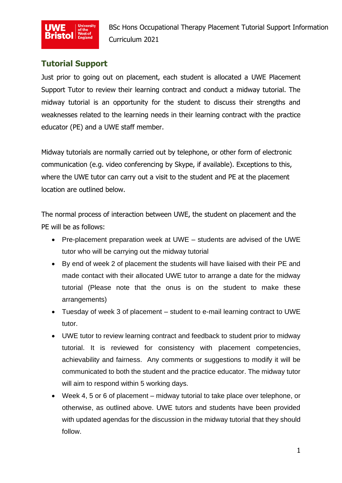

BSc Hons Occupational Therapy Placement Tutorial Support Information Curriculum 2021

## **Tutorial Support**

Just prior to going out on placement, each student is allocated a UWE Placement Support Tutor to review their learning contract and conduct a midway tutorial. The midway tutorial is an opportunity for the student to discuss their strengths and weaknesses related to the learning needs in their learning contract with the practice educator (PE) and a UWE staff member.

Midway tutorials are normally carried out by telephone, or other form of electronic communication (e.g. video conferencing by Skype, if available). Exceptions to this, where the UWE tutor can carry out a visit to the student and PE at the placement location are outlined below.

The normal process of interaction between UWE, the student on placement and the PE will be as follows:

- Pre-placement preparation week at UWE students are advised of the UWE tutor who will be carrying out the midway tutorial
- By end of week 2 of placement the students will have liaised with their PE and made contact with their allocated UWE tutor to arrange a date for the midway tutorial (Please note that the onus is on the student to make these arrangements)
- Tuesday of week 3 of placement student to e-mail learning contract to UWE tutor.
- UWE tutor to review learning contract and feedback to student prior to midway tutorial. It is reviewed for consistency with placement competencies, achievability and fairness. Any comments or suggestions to modify it will be communicated to both the student and the practice educator. The midway tutor will aim to respond within 5 working days.
- Week 4, 5 or 6 of placement midway tutorial to take place over telephone, or otherwise, as outlined above. UWE tutors and students have been provided with updated agendas for the discussion in the midway tutorial that they should follow.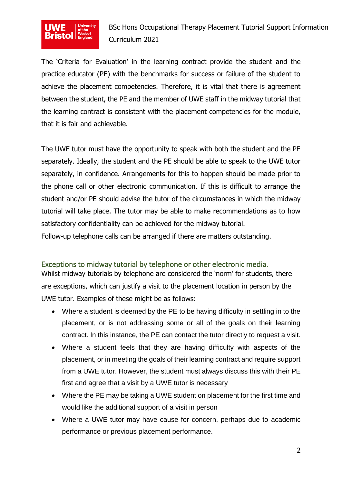## **UWE** Striversity

## BSc Hons Occupational Therapy Placement Tutorial Support Information Curriculum 2021

The 'Criteria for Evaluation' in the learning contract provide the student and the practice educator (PE) with the benchmarks for success or failure of the student to achieve the placement competencies. Therefore, it is vital that there is agreement between the student, the PE and the member of UWE staff in the midway tutorial that the learning contract is consistent with the placement competencies for the module, that it is fair and achievable.

The UWE tutor must have the opportunity to speak with both the student and the PE separately. Ideally, the student and the PE should be able to speak to the UWE tutor separately, in confidence. Arrangements for this to happen should be made prior to the phone call or other electronic communication. If this is difficult to arrange the student and/or PE should advise the tutor of the circumstances in which the midway tutorial will take place. The tutor may be able to make recommendations as to how satisfactory confidentiality can be achieved for the midway tutorial.

Follow-up telephone calls can be arranged if there are matters outstanding.

## Exceptions to midway tutorial by telephone or other electronic media.

Whilst midway tutorials by telephone are considered the 'norm' for students, there are exceptions, which can justify a visit to the placement location in person by the UWE tutor. Examples of these might be as follows:

- Where a student is deemed by the PE to be having difficulty in settling in to the placement, or is not addressing some or all of the goals on their learning contract. In this instance, the PE can contact the tutor directly to request a visit.
- Where a student feels that they are having difficulty with aspects of the placement, or in meeting the goals of their learning contract and require support from a UWE tutor. However, the student must always discuss this with their PE first and agree that a visit by a UWE tutor is necessary
- Where the PE may be taking a UWE student on placement for the first time and would like the additional support of a visit in person
- Where a UWE tutor may have cause for concern, perhaps due to academic performance or previous placement performance.